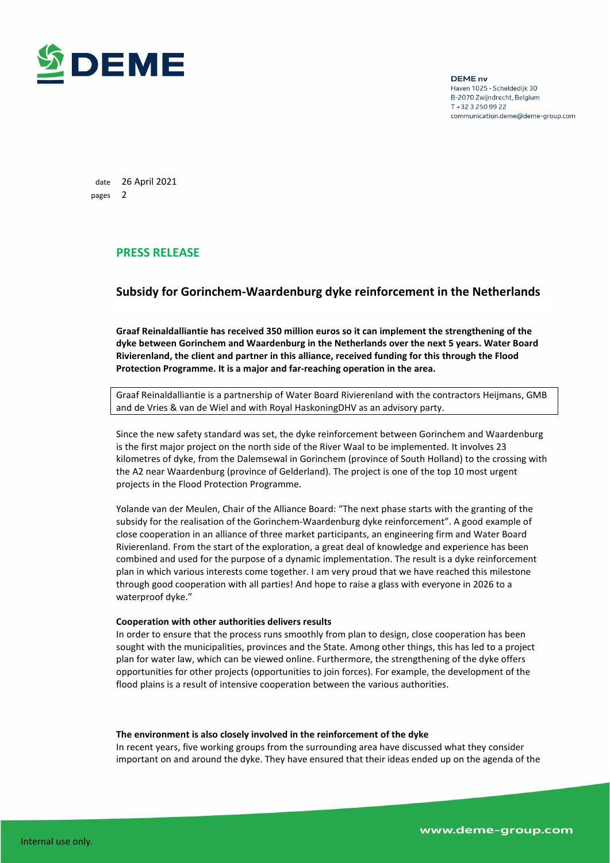

**DEME** nv Haven 1025 - Scheldedijk 30 B-2070 Zwijndrecht, Belgium T + 32 3 250 99 22 communication.deme@deme-group.com

date 26 April 2021 pages 2

## **PRESS RELEASE**

# **Subsidy for Gorinchem-Waardenburg dyke reinforcement in the Netherlands**

**Graaf Reinaldalliantie has received 350 million euros so it can implement the strengthening of the dyke between Gorinchem and Waardenburg in the Netherlands over the next 5 years. Water Board Rivierenland, the client and partner in this alliance, received funding for this through the Flood Protection Programme. It is a major and far-reaching operation in the area.** 

Graaf Reinaldalliantie is a partnership of Water Board Rivierenland with the contractors Heijmans, GMB and de Vries & van de Wiel and with Royal HaskoningDHV as an advisory party.

Since the new safety standard was set, the dyke reinforcement between Gorinchem and Waardenburg is the first major project on the north side of the River Waal to be implemented. It involves 23 kilometres of dyke, from the Dalemsewal in Gorinchem (province of South Holland) to the crossing with the A2 near Waardenburg (province of Gelderland). The project is one of the top 10 most urgent projects in the Flood Protection Programme.

Yolande van der Meulen, Chair of the Alliance Board: "The next phase starts with the granting of the subsidy for the realisation of the Gorinchem-Waardenburg dyke reinforcement". A good example of close cooperation in an alliance of three market participants, an engineering firm and Water Board Rivierenland. From the start of the exploration, a great deal of knowledge and experience has been combined and used for the purpose of a dynamic implementation. The result is a dyke reinforcement plan in which various interests come together. I am very proud that we have reached this milestone through good cooperation with all parties! And hope to raise a glass with everyone in 2026 to a waterproof dyke."

### **Cooperation with other authorities delivers results**

In order to ensure that the process runs smoothly from plan to design, close cooperation has been sought with the municipalities, provinces and the State. Among other things, this has led to a project plan for water law, which can be viewed online. Furthermore, the strengthening of the dyke offers opportunities for other projects (opportunities to join forces). For example, the development of the flood plains is a result of intensive cooperation between the various authorities.

#### **The environment is also closely involved in the reinforcement of the dyke**

In recent years, five working groups from the surrounding area have discussed what they consider important on and around the dyke. They have ensured that their ideas ended up on the agenda of the